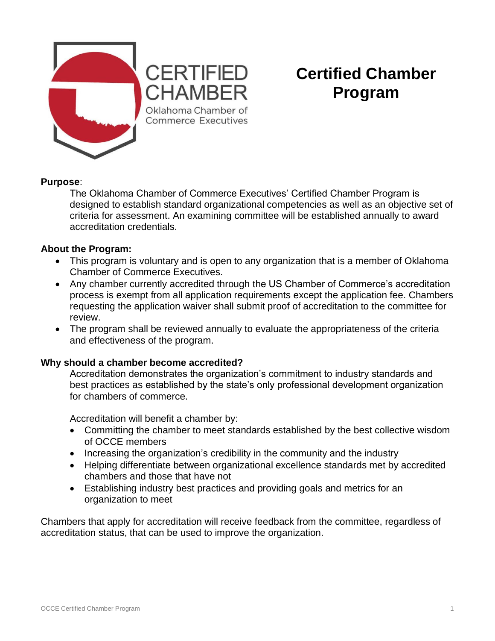

## **CERTIFIED** CHAMBER Oklahoma Chamber of Commerce Executives

# **Certified Chamber Program**

#### **Purpose**:

The Oklahoma Chamber of Commerce Executives' Certified Chamber Program is designed to establish standard organizational competencies as well as an objective set of criteria for assessment. An examining committee will be established annually to award accreditation credentials.

#### **About the Program:**

- This program is voluntary and is open to any organization that is a member of Oklahoma Chamber of Commerce Executives.
- Any chamber currently accredited through the US Chamber of Commerce's accreditation process is exempt from all application requirements except the application fee. Chambers requesting the application waiver shall submit proof of accreditation to the committee for review.
- The program shall be reviewed annually to evaluate the appropriateness of the criteria and effectiveness of the program.

#### **Why should a chamber become accredited?**

Accreditation demonstrates the organization's commitment to industry standards and best practices as established by the state's only professional development organization for chambers of commerce.

Accreditation will benefit a chamber by:

- Committing the chamber to meet standards established by the best collective wisdom of OCCE members
- Increasing the organization's credibility in the community and the industry
- Helping differentiate between organizational excellence standards met by accredited chambers and those that have not
- Establishing industry best practices and providing goals and metrics for an organization to meet

Chambers that apply for accreditation will receive feedback from the committee, regardless of accreditation status, that can be used to improve the organization.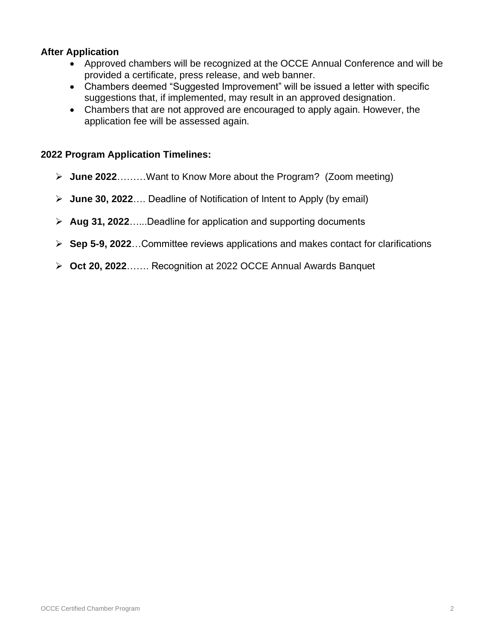#### **After Application**

- Approved chambers will be recognized at the OCCE Annual Conference and will be provided a certificate, press release, and web banner.
- Chambers deemed "Suggested Improvement" will be issued a letter with specific suggestions that, if implemented, may result in an approved designation.
- Chambers that are not approved are encouraged to apply again. However, the application fee will be assessed again.

#### **2022 Program Application Timelines:**

- ➢ **June 2022**………Want to Know More about the Program? (Zoom meeting)
- ➢ **June 30, 2022**…. Deadline of Notification of Intent to Apply (by email)
- ➢ **Aug 31, 2022**…...Deadline for application and supporting documents
- ➢ **Sep 5-9, 2022**…Committee reviews applications and makes contact for clarifications
- ➢ **Oct 20, 2022**……. Recognition at 2022 OCCE Annual Awards Banquet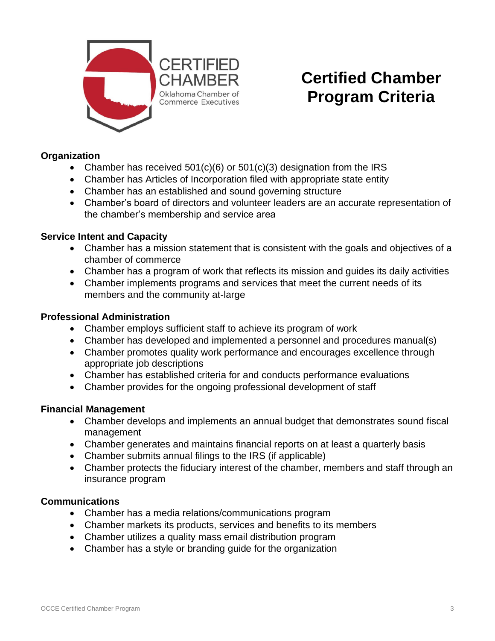

# **Certified Chamber Program Criteria**

#### **Organization**

- Chamber has received  $501(c)(6)$  or  $501(c)(3)$  designation from the IRS
- Chamber has Articles of Incorporation filed with appropriate state entity
- Chamber has an established and sound governing structure
- Chamber's board of directors and volunteer leaders are an accurate representation of the chamber's membership and service area

#### **Service Intent and Capacity**

- Chamber has a mission statement that is consistent with the goals and objectives of a chamber of commerce
- Chamber has a program of work that reflects its mission and guides its daily activities
- Chamber implements programs and services that meet the current needs of its members and the community at-large

#### **Professional Administration**

- Chamber employs sufficient staff to achieve its program of work
- Chamber has developed and implemented a personnel and procedures manual(s)
- Chamber promotes quality work performance and encourages excellence through appropriate job descriptions
- Chamber has established criteria for and conducts performance evaluations
- Chamber provides for the ongoing professional development of staff

#### **Financial Management**

- Chamber develops and implements an annual budget that demonstrates sound fiscal management
- Chamber generates and maintains financial reports on at least a quarterly basis
- Chamber submits annual filings to the IRS (if applicable)
- Chamber protects the fiduciary interest of the chamber, members and staff through an insurance program

#### **Communications**

- Chamber has a media relations/communications program
- Chamber markets its products, services and benefits to its members
- Chamber utilizes a quality mass email distribution program
- Chamber has a style or branding guide for the organization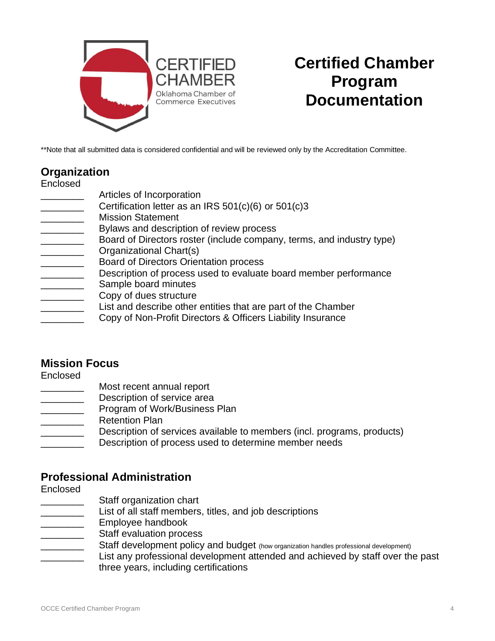

## **Certified Chamber Program Documentation**

\*\*Note that all submitted data is considered confidential and will be reviewed only by the Accreditation Committee.

## **Organization**

Enclosed

- Articles of Incorporation
- Certification letter as an IRS  $501(c)(6)$  or  $501(c)3$
- \_\_\_\_\_\_\_\_ Mission Statement
- Bylaws and description of review process
- **EXECT** Board of Directors roster (include company, terms, and industry type)
- Organizational Chart(s)
- \_\_\_\_\_\_\_\_ Board of Directors Orientation process
- **EXECRED** Description of process used to evaluate board member performance
- Sample board minutes
- Copy of dues structure
- **EXECUTE:** List and describe other entities that are part of the Chamber
- Copy of Non-Profit Directors & Officers Liability Insurance

## **Mission Focus**

Enclosed

- Most recent annual report
- Description of service area
- **EXECUTE:** Program of Work/Business Plan
- Retention Plan
- Description of services available to members (incl. programs, products)
- Description of process used to determine member needs

## **Professional Administration**

Enclosed

- Staff organization chart
- \_\_\_\_\_\_\_\_ List of all staff members, titles, and job descriptions
- \_\_\_\_\_\_\_\_ Employee handbook
- Staff evaluation process
	- Staff development policy and budget (how organization handles professional development)
	- List any professional development attended and achieved by staff over the past three years, including certifications